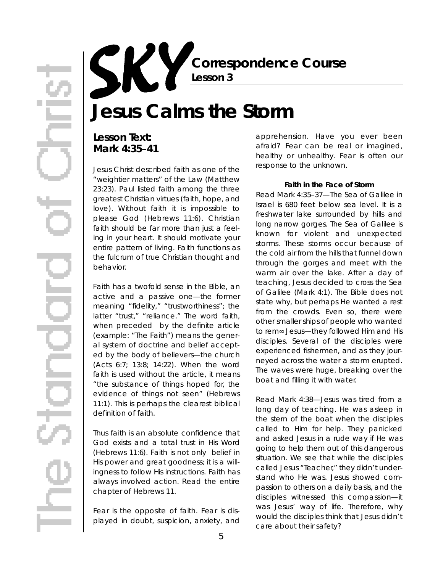**Correspondence Course Lesson 3**

# **Jesus Calms the Storm**

## **Lesson Text: Mark 4:35–41**

Jesus Christ described faith as one of the "weightier matters" of the Law (Matthew 23:23). Paul listed faith among the three greatest Christian virtues (faith, hope, and love). Without faith it is impossible to please God (Hebrews 11:6). Christian faith should be far more than just a feeling in your heart. It should motivate your entire pattern of living. Faith functions as the fulcrum of true Christian thought and behavior.

Faith has a twofold sense in the Bible, an active and a passive one—the former meaning "fidelity," "trustworthiness"; the latter "trust," "reliance." The word *faith*, when preceded by the definite article (example: " The Faith") means the general system of doctrine and belief accepted by the body of believers—the church (Acts 6:7; 13:8; 14:22). When the word *faith* is used without the article, it means "the substance of things hoped for, the evidence of things not seen" (Hebrews 11:1). This is perhaps the clearest biblical definition of faith.

Thus faith is an absolute confidence that God exists and a total trust in His Word (Hebrews 11:6). Faith is not only belief in His power and great goodness; it is a willingness to follow His instructions. Faith has always involved action. Read the entire chapter of Hebrews 11.

Fear is the opposite of faith. Fear is displayed in doubt, suspicion, anxiety, and apprehension. Have you ever been afraid? Fear can be real or imagined, healthy or unhealthy. Fear is often our response to the unknown.

#### **Faith in the Face of Storm**

*Read Mark 4:35–37—*The Sea of Galilee in Israel is 680 feet below sea level. It is a freshwater lake surrounded by hills and long narrow gorges. The Sea of Galilee is known for violent and unexpected storms. These storms occur because of the cold air from the hills that funnel down through the gorges and meet with the warm air over the lake. After a day of teaching, Jesus decided to cross the Sea of Galilee (Mark 4:1). The Bible does not state why, but perhaps He wanted a rest from the crowds. Even so, there were other smaller ships of people who wanted to rem Jesus—they followed Him and His disciples. Several of the disciples were experienced fishermen, and as they journeyed across the water a storm erupted. The waves were huge, breaking over the boat and filling it with water.

*Read Mark 4:38—*Jesus was tired from a long day of teaching. He was asleep in the stern of the boat when the disciples called to Him for help. They panicked and asked Jesus in a rude way if He was going to help them out of this dangerous situation. We see that while the disciples called Jesus "Teacher," they didn't understand who He was. Jesus showed compassion to others on a daily basis, and the disciples witnessed this compassion—it was Jesus' way of life. Therefore, why would the disciples think that Jesus didn't care about their safety?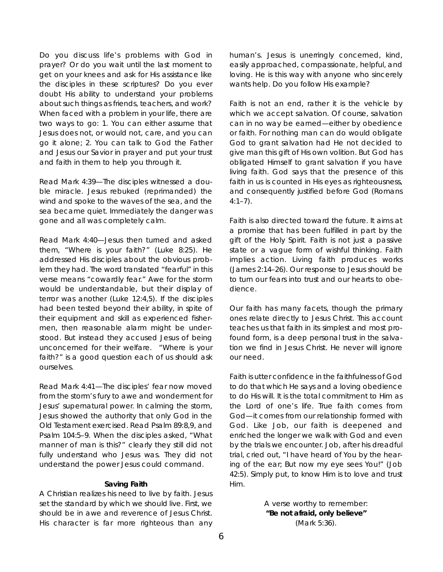Do you discuss life's problems with God in prayer? Or do you wait until the last moment to get on your knees and ask for His assistance like the disciples in these scriptures? Do you ever doubt His ability to understand your problems about such things as friends, teachers, and work? When faced with a problem in your life, there are two ways to go: 1. You can either assume that Jesus does not, or would not, care, and you can go it alone; 2. You can talk to God the Father and Jesus our Savior in prayer and put your trust and faith in them to help you through it.

*Read Mark 4:39—*The disciples witnessed a double miracle. Jesus rebuked (reprimanded) the wind and spoke to the waves of the sea, and the sea became quiet. Immediately the danger was gone and all was completely calm.

*Read Mark 4:40—*Jesus then turned and asked them, "Where is your faith?" (Luke 8:25). He addressed His disciples about the obvious problem they had. The word translated "fearful" in this verse means "cowardly fear." Awe for the storm would be understandable, but their display of terror was another (Luke  $12:4.5$ ). If the disciples had been tested beyond their ability, in spite of their equipment and skill as experienced fishermen, then reasonable alarm might be understood. But instead they accused Jesus of being unconcerned for their welfare. "Where is your faith?" is a good question each of us should ask ourselves.

*Read Mark 4:41—*The disciples' fear now moved from the storm's fury to awe and wonderment for Jesus' supernatural power. In calming the storm, Jesus showed the authority that only God in the Old Testament exercised. Read Psalm 89:8,9, and Psalm 104:5–9. When the disciples asked, "What manner of man is this?" clearly they still did not fully understand who Jesus was. They did not understand the power Jesus could command.

#### **Saving Faith**

A Christian realizes his need to live by faith. Jesus set the standard by which we should live. First, we should be in awe and reverence of Jesus Christ. His character is far more righteous than any

human's. Jesus is unerringly concerned, kind, easily approached, compassionate, helpful, and loving. He is this way with anyone who sincerely wants help. Do you follow His example?

Faith is not an end, rather it is the vehicle by which we accept salvation. Of course, salvation can in no way be earned—either by obedience or faith. For nothing man can do would obligate God to grant salvation had He not decided to give man this gift of His own volition. But God has obligated Himself to grant salvation if you have living faith. God says that the presence of this faith in us is counted in His eyes as righteousness, and consequently justified before God (Romans  $4:1 - 7$ ).

Faith is also directed toward the future. It aims at a promise that has been fulfilled in part by the gift of the Holy Spirit. Faith is not just a passive state or a vague form of wishful thinking. Faith implies action. Living faith produces works (James 2:14–26). Our response to Jesus should be to turn our fears into trust and our hearts to obedience

Our faith has many facets, though the primary ones relate directly to Jesus Christ. This account teaches us that faith in its simplest and most profound form, is a deep personal trust in the salvation we find in Jesus Christ. He never will ignore our need.

Faith is utter confidence in the faithfulness of God to do that which He says and a loving obedience to do His will. It is the total commitment to Him as the Lord of one's life. True faith comes from God—it comes from our relationship formed with God. Like Job, our faith is deepened and enriched the longer we walk with God and even by the trials we encounter. Job, after his dreadful trial, cried out, "I have heard of You by the hearing of the ear; But now my eye sees You!" (Job 42:5). Simply put, to know Him is to love and trust Him.

> *A verse worthy to remember:*  **"Be not afraid, only believe"**  (Mark 5:36).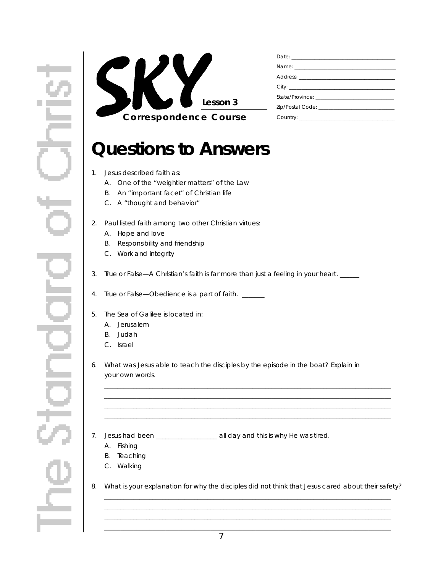

## **Questions to Answers**

- 1. Jesus described faith as:
	- A. One of the "weightier matters" of the Law
	- B. An "important facet" of Christian life
	- C. A "thought and behavior"
- 2. Paul listed faith among two other Christian virtues:
	- A. Hope and love
	- B. Responsibility and friendship
	- C. Work and integrity
- 3. True or False—A Christian's faith is far more than just a feeling in your heart. \_\_\_\_\_
- 4. True or False—Obedience is a part of faith. \_\_\_\_\_\_
- 5. The Sea of Galilee is located in:
	- A. Jerusalem
	- B. Judah
	- C. Israel
- 6. What was Jesus able to teach the disciples by the episode in the boat? Explain in your own words.
- 7. Jesus had been \_\_\_\_\_\_\_\_\_\_\_\_\_\_\_\_\_\_\_ all day and this is why He was tired.
	- A. Fishing
	- B. Teaching
	- C. Walking
- 8. What is your explanation for why the disciples did not think that Jesus cared about their safety? \_ \_ \_ \_ \_ \_ \_ \_ \_ \_ \_ \_ \_ \_ \_ \_ \_ \_ \_ \_ \_ \_ \_ \_ \_ \_ \_ \_ \_ \_ \_ \_ \_ \_ \_ \_ \_ \_ \_ \_ \_ \_ \_ \_ \_ \_ \_ \_ \_ \_ \_ \_ \_ \_ \_ \_ \_ \_ \_ \_ \_ \_ \_ \_ \_ \_ \_ \_ \_ \_ \_ \_ \_ \_ \_ \_ \_ \_ \_ \_ \_ \_ \_ \_ \_ \_ \_ \_ \_

\_ \_ \_ \_ \_ \_ \_ \_ \_ \_ \_ \_ \_ \_ \_ \_ \_ \_ \_ \_ \_ \_ \_ \_ \_ \_ \_ \_ \_ \_ \_ \_ \_ \_ \_ \_ \_ \_ \_ \_ \_ \_ \_ \_ \_ \_ \_ \_ \_ \_ \_ \_ \_ \_ \_ \_ \_ \_ \_ \_ \_ \_ \_ \_ \_ \_ \_ \_ \_ \_ \_ \_ \_ \_ \_ \_ \_ \_ \_ \_ \_ \_ \_ \_ \_ \_ \_ \_ \_

\_ \_ \_ \_ \_ \_ \_ \_ \_ \_ \_ \_ \_ \_ \_ \_ \_ \_ \_ \_ \_ \_ \_ \_ \_ \_ \_ \_ \_ \_ \_ \_ \_ \_ \_ \_ \_ \_ \_ \_ \_ \_ \_ \_ \_ \_ \_ \_ \_ \_ \_ \_ \_ \_ \_ \_ \_ \_ \_ \_ \_ \_ \_ \_ \_ \_ \_ \_ \_ \_ \_ \_ \_ \_ \_ \_ \_ \_ \_ \_ \_ \_ \_ \_ \_ \_ \_ \_ \_

 $\ldots$  .  $\ldots$  .  $\ldots$  .  $\ldots$  .  $\ldots$  .  $\ldots$  .  $\ldots$  .  $\ldots$  .  $\ldots$  .  $\ldots$  .  $\ldots$  .  $\ldots$  .  $\ldots$  .  $\ldots$  .  $\ldots$  .  $\ldots$  .  $\ldots$ \_ \_ \_ \_ \_ \_ \_ \_ \_ \_ \_ \_ \_ \_ \_ \_ \_ \_ \_ \_ \_ \_ \_ \_ \_ \_ \_ \_ \_ \_ \_ \_ \_ \_ \_ \_ \_ \_ \_ \_ \_ \_ \_ \_ \_ \_ \_ \_ \_ \_ \_ \_ \_ \_ \_ \_ \_ \_ \_ \_ \_ \_ \_ \_ \_ \_ \_ \_ \_ \_ \_ \_ \_ \_ \_ \_ \_ \_ \_ \_ \_ \_ \_ \_ \_ \_ \_ \_ \_ \_ \_ \_ \_ \_ \_ \_ \_ \_ \_ \_ \_ \_ \_ \_ \_ \_ \_ \_ \_ \_ \_ \_ \_ \_ \_ \_ \_ \_ \_ \_ \_ \_ \_ \_ \_ \_ \_ \_ \_ \_ \_ \_ \_ \_ \_ \_ \_ \_ \_ \_ \_ \_ \_ \_ \_ \_ \_ \_ \_ \_ \_ \_ \_ \_ \_ \_ \_ \_ \_ \_ \_ \_ \_ \_ \_ \_ \_ \_ \_ \_ \_ \_ \_ \_ \_ \_ \_ \_ \_ \_ \_ \_ \_ \_ \_ \_ \_ \_ \_ \_ \_ \_ \_ \_ \_ \_ \_ \_ \_ \_ \_ \_ \_ \_ \_ \_ \_ \_ \_ \_ \_ \_ \_ \_ \_ \_ \_ \_ \_ \_ \_ \_ \_ \_ \_ \_ \_ \_ \_ \_ \_ \_ \_ \_ \_ \_ \_ \_ \_ \_ \_ \_ \_ \_ \_ \_ \_ \_ \_ \_ \_ \_ \_ \_ \_ \_ \_ \_ \_ \_ \_ \_ \_ \_ \_ \_ \_

\_ \_ \_ \_ \_ \_ \_ \_ \_ \_ \_ \_ \_ \_ \_ \_ \_ \_ \_ \_ \_ \_ \_ \_ \_ \_ \_ \_ \_ \_ \_ \_ \_ \_ \_ \_ \_ \_ \_ \_ \_ \_ \_ \_ \_ \_ \_ \_ \_ \_ \_ \_ \_ \_ \_ \_ \_ \_ \_ \_ \_ \_ \_ \_ \_ \_ \_ \_ \_ \_ \_ \_ \_ \_ \_ \_ \_ \_ \_ \_ \_ \_ \_ \_ \_ \_ \_ \_ \_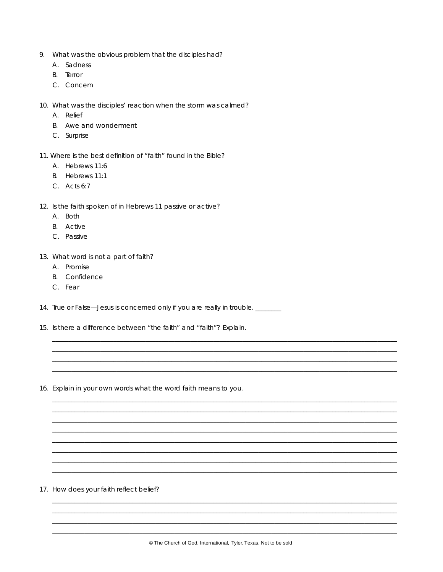- 9. What was the obvious problem that the disciples had?
	- A. Sadness
	- **B.** Terror
	- C. Concern
- 10. What was the disciples' reaction when the storm was calmed?
	- A. Relief
	- B. Awe and wonderment
	- C. Surprise
- 11. Where is the best definition of "faith" found in the Bible?
	- A. Hebrews 11:6
	- B. Hebrews 11:1
	- C. Acts 6:7
- 12. Is the faith spoken of in Hebrews 11 passive or active?
	- A. Both
	- **B.** Active
	- C. Passive
- 13. What word is not a part of faith?
	- A. Promise
	- **B.** Confidence
	- C. Fear
- 14. True or False-Jesus is concerned only if you are really in trouble. \_\_\_\_\_\_\_
- 15. Is there a difference between "the faith" and "faith"? Explain.
- 16. Explain in your own words what the word faith means to you.

17. How does your faith reflect belief?